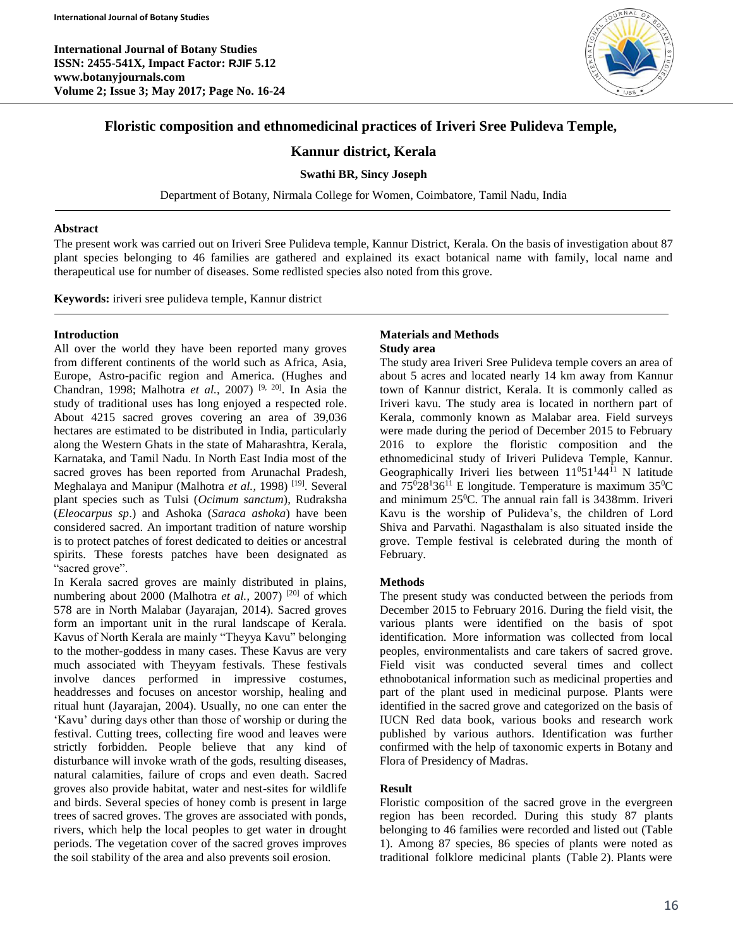**International Journal of Botany Studies ISSN: 2455-541X, Impact Factor: RJIF 5.12 www.botanyjournals.com Volume 2; Issue 3; May 2017; Page No. 16-24**



# **Floristic composition and ethnomedicinal practices of Iriveri Sree Pulideva Temple,**

# **Kannur district, Kerala**

### **Swathi BR, Sincy Joseph**

Department of Botany, Nirmala College for Women, Coimbatore, Tamil Nadu, India

#### **Abstract**

The present work was carried out on Iriveri Sree Pulideva temple, Kannur District, Kerala. On the basis of investigation about 87 plant species belonging to 46 families are gathered and explained its exact botanical name with family, local name and therapeutical use for number of diseases. Some redlisted species also noted from this grove.

**Keywords:** iriveri sree pulideva temple, Kannur district

### **Introduction**

All over the world they have been reported many groves from different continents of the world such as Africa, Asia, Europe, Astro-pacific region and America. (Hughes and Chandran, 1998; Malhotra *et al.*, 2007) [9, 20]. In Asia the study of traditional uses has long enjoyed a respected role. About 4215 sacred groves covering an area of 39,036 hectares are estimated to be distributed in India, particularly along the Western Ghats in the state of Maharashtra, Kerala, Karnataka, and Tamil Nadu. In North East India most of the sacred groves has been reported from Arunachal Pradesh, Meghalaya and Manipur (Malhotra et al., 1998)<sup>[19]</sup>. Several plant species such as Tulsi (*Ocimum sanctum*), Rudraksha (*Eleocarpus sp*.) and Ashoka (*Saraca ashoka*) have been considered sacred. An important tradition of nature worship is to protect patches of forest dedicated to deities or ancestral spirits. These forests patches have been designated as "sacred grove".

In Kerala sacred groves are mainly distributed in plains, numbering about 2000 (Malhotra et al., 2007)<sup>[20]</sup> of which 578 are in North Malabar (Jayarajan, 2014). Sacred groves form an important unit in the rural landscape of Kerala. Kavus of North Kerala are mainly "Theyya Kavu" belonging to the mother-goddess in many cases. These Kavus are very much associated with Theyyam festivals. These festivals involve dances performed in impressive costumes, headdresses and focuses on ancestor worship, healing and ritual hunt (Jayarajan, 2004). Usually, no one can enter the 'Kavu' during days other than those of worship or during the festival. Cutting trees, collecting fire wood and leaves were strictly forbidden. People believe that any kind of disturbance will invoke wrath of the gods, resulting diseases, natural calamities, failure of crops and even death. Sacred groves also provide habitat, water and nest-sites for wildlife and birds. Several species of honey comb is present in large trees of sacred groves. The groves are associated with ponds, rivers, which help the local peoples to get water in drought periods. The vegetation cover of the sacred groves improves the soil stability of the area and also prevents soil erosion.

### **Materials and Methods Study area**

The study area Iriveri Sree Pulideva temple covers an area of about 5 acres and located nearly 14 km away from Kannur town of Kannur district, Kerala. It is commonly called as Iriveri kavu. The study area is located in northern part of Kerala, commonly known as Malabar area. Field surveys were made during the period of December 2015 to February 2016 to explore the floristic composition and the ethnomedicinal study of Iriveri Pulideva Temple, Kannur. Geographically Iriveri lies between  $11^051^144^11$  N latitude and  $75^028^136^{11}$  E longitude. Temperature is maximum  $35^0C$ and minimum 25<sup>0</sup>C. The annual rain fall is 3438mm. Iriveri Kavu is the worship of Pulideva's, the children of Lord Shiva and Parvathi. Nagasthalam is also situated inside the grove. Temple festival is celebrated during the month of February.

## **Methods**

The present study was conducted between the periods from December 2015 to February 2016. During the field visit, the various plants were identified on the basis of spot identification. More information was collected from local peoples, environmentalists and care takers of sacred grove. Field visit was conducted several times and collect ethnobotanical information such as medicinal properties and part of the plant used in medicinal purpose. Plants were identified in the sacred grove and categorized on the basis of IUCN Red data book, various books and research work published by various authors. Identification was further confirmed with the help of taxonomic experts in Botany and Flora of Presidency of Madras.

## **Result**

Floristic composition of the sacred grove in the evergreen region has been recorded. During this study 87 plants belonging to 46 families were recorded and listed out (Table 1). Among 87 species, 86 species of plants were noted as traditional folklore medicinal plants (Table 2). Plants were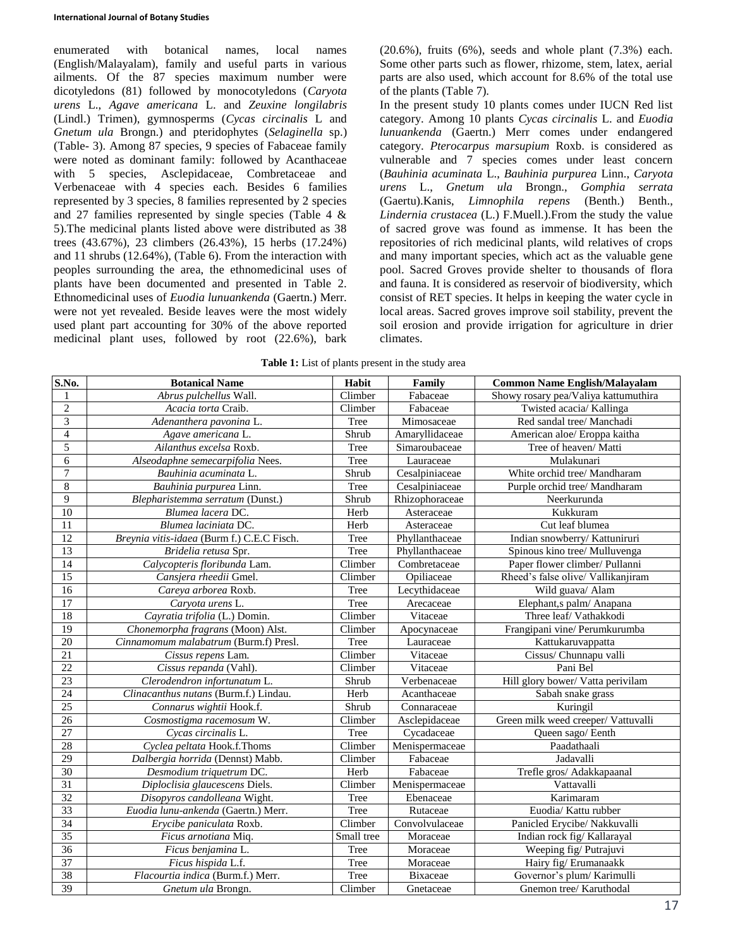enumerated with botanical names, local names (English/Malayalam), family and useful parts in various ailments. Of the 87 species maximum number were dicotyledons (81) followed by monocotyledons (*Caryota urens* L., *Agave americana* L. and *Zeuxine longilabris* (Lindl.) Trimen), gymnosperms (*Cycas circinalis* L and *Gnetum ula* Brongn.) and pteridophytes (*Selaginella* sp.) (Table- 3). Among 87 species, 9 species of Fabaceae family were noted as dominant family: followed by Acanthaceae with 5 species, Asclepidaceae, Combretaceae and Verbenaceae with 4 species each. Besides 6 families represented by 3 species, 8 families represented by 2 species and 27 families represented by single species (Table 4 & 5).The medicinal plants listed above were distributed as 38 trees (43.67%), 23 climbers (26.43%), 15 herbs (17.24%) and 11 shrubs (12.64%), (Table 6). From the interaction with peoples surrounding the area, the ethnomedicinal uses of plants have been documented and presented in Table 2. Ethnomedicinal uses of *Euodia lunuankenda* (Gaertn.) Merr. were not yet revealed. Beside leaves were the most widely used plant part accounting for 30% of the above reported medicinal plant uses, followed by root (22.6%), bark

 $(20.6\%)$ , fruits  $(6\%)$ , seeds and whole plant  $(7.3\%)$  each. Some other parts such as flower, rhizome, stem, latex, aerial parts are also used, which account for 8.6% of the total use of the plants (Table 7).

In the present study 10 plants comes under IUCN Red list category. Among 10 plants *Cycas circinalis* L. and *Euodia lunuankenda* (Gaertn.) Merr comes under endangered category. *Pterocarpus marsupium* Roxb. is considered as vulnerable and 7 species comes under least concern (*Bauhinia acuminata* L., *Bauhinia purpurea* Linn., *Caryota urens* L., *Gnetum ula* Brongn., *Gomphia serrata* (Gaertu).Kanis, *Limnophila repens* (Benth.) Benth., *Lindernia crustacea* (L.) F.Muell.).From the study the value of sacred grove was found as immense. It has been the repositories of rich medicinal plants, wild relatives of crops and many important species, which act as the valuable gene pool. Sacred Groves provide shelter to thousands of flora and fauna. It is considered as reservoir of biodiversity, which consist of RET species. It helps in keeping the water cycle in local areas. Sacred groves improve soil stability, prevent the soil erosion and provide irrigation for agriculture in drier climates.

| S.No.           | <b>Botanical Name</b>                      | Habit      | Family         | <b>Common Name English/Malayalam</b> |
|-----------------|--------------------------------------------|------------|----------------|--------------------------------------|
| 1               | Abrus pulchellus Wall.                     | Climber    | Fabaceae       | Showy rosary pea/Valiya kattumuthira |
| $\overline{2}$  | Acacia torta Craib.                        | Climber    | Fabaceae       | Twisted acacia/ Kallinga             |
| $\overline{3}$  | Adenanthera pavonina L.                    | Tree       | Mimosaceae     | Red sandal tree/ Manchadi            |
| $\overline{4}$  | Agave americana L.                         | Shrub      | Amaryllidaceae | American aloe/ Eroppa kaitha         |
| 5               | Ailanthus excelsa Roxb.                    | Tree       | Simaroubaceae  | Tree of heaven/ Matti                |
| 6               | Alseodaphne semecarpifolia Nees.           | Tree       | Lauraceae      | Mulakunari                           |
| $\tau$          | Bauhinia acuminata L.                      | Shrub      | Cesalpiniaceae | White orchid tree/ Mandharam         |
| $8\,$           | Bauhinia purpurea Linn.                    | Tree       | Cesalpiniaceae | Purple orchid tree/ Mandharam        |
| 9               | Blepharistemma serratum (Dunst.)           | Shrub      | Rhizophoraceae | Neerkurunda                          |
| 10              | Blumea lacera DC.                          | Herb       | Asteraceae     | Kukkuram                             |
| 11              | Blumea laciniata DC.                       | Herb       | Asteraceae     | Cut leaf blumea                      |
| 12              | Breynia vitis-idaea (Burm f.) C.E.C Fisch. | Tree       | Phyllanthaceae | Indian snowberry/ Kattuniruri        |
| 13              | Bridelia retusa Spr.                       | Tree       | Phyllanthaceae | Spinous kino tree/ Mulluvenga        |
| 14              | Calycopteris floribunda Lam.               | Climber    | Combretaceae   | Paper flower climber/ Pullanni       |
| 15              | Cansjera rheedii Gmel.                     | Climber    | Opiliaceae     | Rheed's false olive/ Vallikanjiram   |
| 16              | Careya arborea Roxb.                       | Tree       | Lecythidaceae  | Wild guava/ Alam                     |
| 17              | Caryota urens L.                           | Tree       | Arecaceae      | Elephant, spalm/Anapana              |
| $\overline{18}$ | Cayratia trifolia (L.) Domin.              | Climber    | Vitaceae       | Three leaf/ Vathakkodi               |
| $\overline{19}$ | Chonemorpha fragrans (Moon) Alst.          | Climber    | Apocynaceae    | Frangipani vine/ Perumkurumba        |
| 20              | Cinnamomum malabatrum (Burm.f) Presl.      | Tree       | Lauraceae      | Kattukaruvappatta                    |
| $\overline{21}$ | Cissus repens Lam.                         | Climber    | Vitaceae       | Cissus/ Chunnapu valli               |
| 22              | Cissus repanda (Vahl).                     | Climber    | Vitaceae       | Pani Bel                             |
| 23              | Clerodendron infortunatum L.               | Shrub      | Verbenaceae    | Hill glory bower/ Vatta perivilam    |
| 24              | Clinacanthus nutans (Burm.f.) Lindau.      | Herb       | Acanthaceae    | Sabah snake grass                    |
| 25              | Connarus wightii Hook.f.                   | Shrub      | Connaraceae    | Kuringil                             |
| 26              | Cosmostigma racemosum W.                   | Climber    | Asclepidaceae  | Green milk weed creeper/ Vattuvalli  |
| 27              | Cycas circinalis L.                        | Tree       | Cycadaceae     | Queen sago/ Eenth                    |
| 28              | Cyclea peltata Hook.f.Thoms                | Climber    | Menispermaceae | Paadathaali                          |
| 29              | Dalbergia horrida (Dennst) Mabb.           | Climber    | Fabaceae       | Jadavalli                            |
| $\overline{30}$ | Desmodium triquetrum DC.                   | Herb       | Fabaceae       | Trefle gros/ Adakkapaanal            |
| $\overline{31}$ | Diploclisia glaucescens Diels.             | Climber    | Menispermaceae | Vattavalli                           |
| $\overline{32}$ | Disopyros candolleana Wight.               | Tree       | Ebenaceae      | Karimaram                            |
| $\overline{33}$ | Euodia lunu-ankenda (Gaertn.) Merr.        | Tree       | Rutaceae       | Euodia/ Kattu rubber                 |
| $\overline{34}$ | Erycibe paniculata Roxb.                   | Climber    | Convolvulaceae | Panicled Erycibe/ Nakkuvalli         |
| 35              | Ficus arnotiana Miq.                       | Small tree | Moraceae       | Indian rock fig/Kallarayal           |
| $\overline{36}$ | Ficus benjamina L.                         | Tree       | Moraceae       | Weeping fig/ Putrajuvi               |
| 37              | Ficus hispida L.f.                         | Tree       | Moraceae       | Hairy fig/ Erumanaakk                |

38 *Flacourtia indica* (Burm.f.) Merr. Tree Bixaceae Governor's plum/ Karimulli 39 *Gnetum ula* Brongn. Climber Gnetaceae Gnemon tree/ Karuthodal

**Table 1:** List of plants present in the study area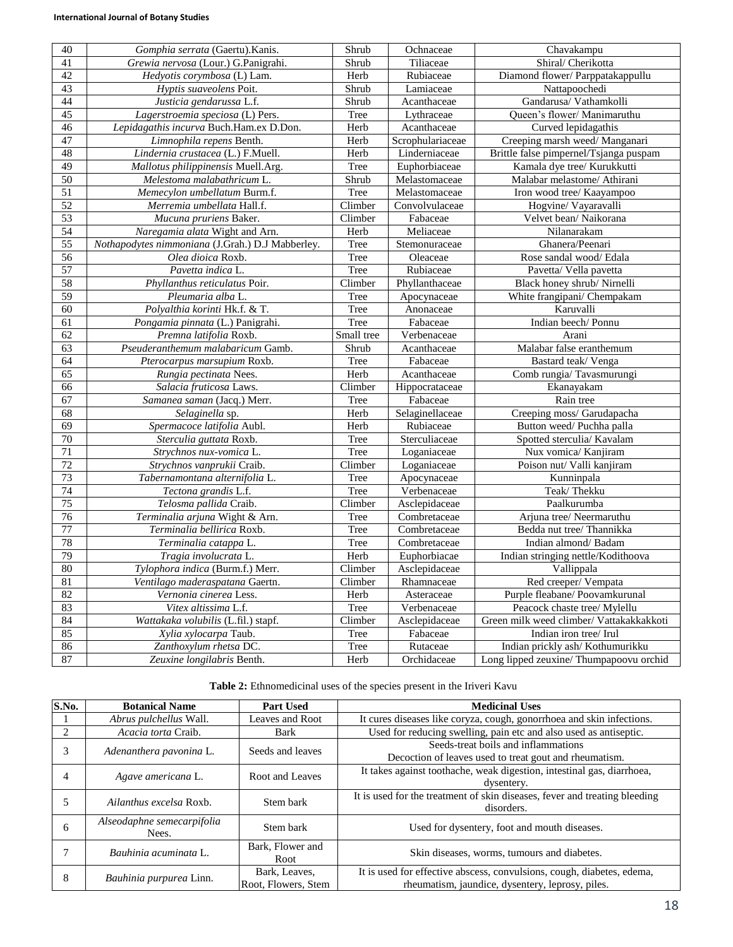| 40              | Gomphia serrata (Gaertu). Kanis.                 | Shrub       | Ochnaceae                        | Chavakampu                               |
|-----------------|--------------------------------------------------|-------------|----------------------------------|------------------------------------------|
| 41              | Grewia nervosa (Lour.) G.Panigrahi.              | Shrub       | Tiliaceae                        | Shiral/ Cherikotta                       |
| 42              | Hedyotis corymbosa (L) Lam.                      | Herb        | Rubiaceae                        | Diamond flower/ Parppatakappullu         |
| 43              | Hyptis suaveolens Poit.                          | Shrub       | Lamiaceae                        | Nattapoochedi                            |
| 44              | Justicia gendarussa L.f.                         | Shrub       | Acanthaceae                      | Gandarusa/Vathamkolli                    |
| 45              | Lagerstroemia speciosa (L) Pers.                 | Tree        | Lythraceae                       | Queen's flower/ Manimaruthu              |
| 46              | Lepidagathis incurva Buch.Ham.ex D.Don.          | Herb        | Acanthaceae                      | Curved lepidagathis                      |
| 47              | Limnophila repens Benth.                         | Herb        | Scrophulariaceae                 | Creeping marsh weed/Manganari            |
| 48              | Lindernia crustacea (L.) F.Muell.                | Herb        | Linderniaceae                    | Brittle false pimpernel/Tsjanga puspam   |
| 49              | Mallotus philippinensis Muell.Arg.               | Tree        | Euphorbiaceae                    | Kamala dye tree/ Kurukkutti              |
| $\overline{50}$ | Melestoma malabathricum L.                       | Shrub       | Melastomaceae                    | Malabar melastome/ Athirani              |
| 51              | Memecylon umbellatum Burm.f.                     | Tree        | Melastomaceae                    | Iron wood tree/ Kaayampoo                |
| 52              | Merremia umbellata Hall.f.                       | Climber     | Convolvulaceae                   | Hogvine/ Vayaravalli                     |
| $\overline{53}$ | Mucuna pruriens Baker.                           | Climber     | Fabaceae                         | Velvet bean/ Naikorana                   |
| 54              | Naregamia alata Wight and Arn.                   | Herb        | Meliaceae                        | Nilanarakam                              |
| $\overline{55}$ | Nothapodytes nimmoniana (J.Grah.) D.J Mabberley. | Tree        | Stemonuraceae                    | Ghanera/Peenari                          |
| 56              | Olea dioica Roxb.                                | Tree        | Oleaceae                         | Rose sandal wood/Edala                   |
| $\overline{57}$ | Pavetta indica L.                                | Tree        | Rubiaceae                        | Pavetta/ Vella pavetta                   |
| 58              | Phyllanthus reticulatus Poir.                    | Climber     | Phyllanthaceae                   | Black honey shrub/ Nirnelli              |
| $\overline{59}$ | Pleumaria alba L.                                | Tree        | Apocynaceae                      | White frangipani/ Chempakam              |
| 60              | Polyalthia korinti Hk.f. & T.                    | Tree        | Anonaceae                        | Karuvalli                                |
| 61              | Pongamia pinnata (L.) Panigrahi.                 | Tree        | Fabaceae                         | Indian beech/Ponnu                       |
| 62              | Premna latifolia Roxb.                           | Small tree  | Verbenaceae                      | Arani                                    |
| 63              | Pseuderanthemum malabaricum Gamb.                | Shrub       | Acanthaceae                      | Malabar false eranthemum                 |
| 64              | Pterocarpus marsupium Roxb.                      | Tree        | Fabaceae                         | Bastard teak/Venga                       |
| 65              | Rungia pectinata Nees.                           | Herb        | Acanthaceae                      | Comb rungia/ Tavasmurungi                |
| 66              | Salacia fruticosa Laws.                          | Climber     | Hippocrataceae                   | Ekanayakam                               |
| 67              | Samanea saman (Jacq.) Merr.                      | Tree        | Fabaceae                         | Rain tree                                |
| 68              | Selaginella sp.                                  | Herb        | Selaginellaceae                  | Creeping moss/ Garudapacha               |
| 69              | Spermacoce latifolia Aubl.                       | Herb        | Rubiaceae                        | Button weed/Puchha palla                 |
| 70              | Sterculia guttata Roxb.                          | Tree        | Sterculiaceae                    | Spotted sterculia/ Kavalam               |
| $\overline{71}$ | Strychnos nux-vomica L.                          | Tree        | Loganiaceae                      | Nux vomica/ Kanjiram                     |
| 72              | Strychnos vanprukii Craib.                       | Climber     | Loganiaceae                      | Poison nut/ Valli kanjiram               |
| 73              | Tabernamontana alternifolia L.                   | Tree        | Apocynaceae                      | Kunninpala                               |
| $\overline{74}$ | Tectona grandis L.f.                             | Tree        | Verbenaceae                      | Teak/Thekku                              |
| 75              | Telosma pallida Craib.                           | Climber     | Asclepidaceae                    | Paalkurumba                              |
| 76              | Terminalia arjuna Wight & Arn.                   | Tree        | $\overline{\text{Combretaceae}}$ | Arjuna tree/ Neermaruthu                 |
| 77              | Terminalia bellirica Roxb.                       | Tree        | Combretaceae                     | Bedda nut tree/Thannikka                 |
| 78              | Terminalia catappa L.                            | Tree        | Combretaceae                     | Indian almond/Badam                      |
| $\overline{79}$ | Tragia involucrata L.                            | Herb        | Euphorbiacae                     | Indian stringing nettle/Kodithoova       |
| $\overline{80}$ | Tylophora indica (Burm.f.) Merr.                 | Climber     | Asclepidaceae                    | Vallippala                               |
| 81              | Ventilago maderaspatana Gaertn.                  | Climber     | Rhamnaceae                       | Red creeper/ Vempata                     |
| $\overline{82}$ | Vernonia cinerea Less.                           | <b>Herb</b> | Asteraceae                       | Purple fleabane/ Poovamkurunal           |
| 83              | Vitex altissima L.f.                             | Tree        | Verbenaceae                      | Peacock chaste tree/ Mylellu             |
| 84              | Wattakaka volubilis (L.fil.) stapf.              | Climber     | Asclepidaceae                    | Green milk weed climber/ Vattakakkakkoti |
| 85              | Xylia xylocarpa Taub.                            | Tree        | Fabaceae                         | Indian iron tree/ Irul                   |
| 86              | Zanthoxylum rhetsa DC.                           | Tree        | Rutaceae                         | Indian prickly ash/Kothumurikku          |
| 87              | Zeuxine longilabris Benth.                       | Herb        | Orchidaceae                      | Long lipped zeuxine/ Thumpapoovu orchid  |

**Table 2:** Ethnomedicinal uses of the species present in the Iriveri Kavu

| S.No. | <b>Botanical Name</b>               | <b>Part Used</b>                     | <b>Medicinal Uses</b>                                                                                                      |
|-------|-------------------------------------|--------------------------------------|----------------------------------------------------------------------------------------------------------------------------|
|       | Abrus pulchellus Wall.              | Leaves and Root                      | It cures diseases like coryza, cough, gonorrhoea and skin infections.                                                      |
|       | Acacia torta Craib.                 | Bark                                 | Used for reducing swelling, pain etc and also used as antiseptic.                                                          |
| 3     | Adenanthera pavonina L.             | Seeds and leaves                     | Seeds-treat boils and inflammations<br>Decoction of leaves used to treat gout and rheumatism.                              |
|       | Agave americana L.                  | Root and Leaves                      | It takes against toothache, weak digestion, intestinal gas, diarrhoea,<br>dysentery.                                       |
|       | Ailanthus excelsa Roxb.             | Stem bark                            | It is used for the treatment of skin diseases, fever and treating bleeding<br>disorders.                                   |
| 6     | Alseodaphne semecarpifolia<br>Nees. | Stem bark                            | Used for dysentery, foot and mouth diseases.                                                                               |
|       | Bauhinia acuminata L.               | Bark, Flower and<br>Root             | Skin diseases, worms, tumours and diabetes.                                                                                |
| 8     | Bauhinia purpurea Linn.             | Bark, Leaves.<br>Root, Flowers, Stem | It is used for effective abscess, convulsions, cough, diabetes, edema,<br>rheumatism, jaundice, dysentery, leprosy, piles. |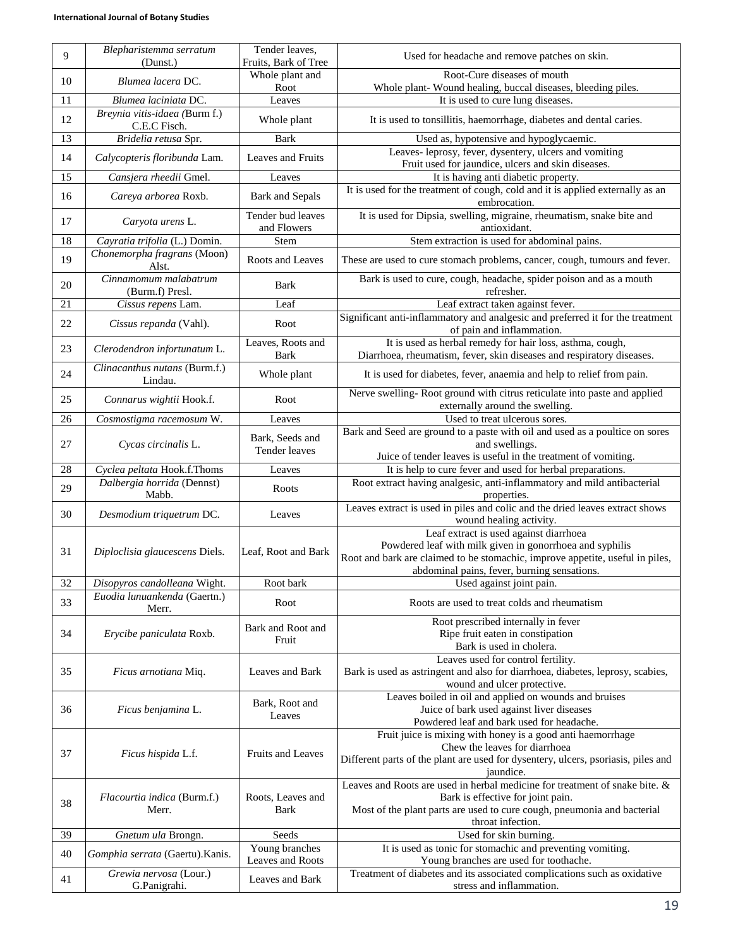| 9               | Blepharistemma serratum<br>(Dunst.)      | Tender leaves,<br>Fruits, Bark of Tree | Used for headache and remove patches on skin.                                                                                                                                                                                      |
|-----------------|------------------------------------------|----------------------------------------|------------------------------------------------------------------------------------------------------------------------------------------------------------------------------------------------------------------------------------|
| 10              | Blumea lacera DC.                        | Whole plant and<br>Root                | Root-Cure diseases of mouth<br>Whole plant- Wound healing, buccal diseases, bleeding piles.                                                                                                                                        |
| 11              | Blumea laciniata DC.                     | Leaves                                 | It is used to cure lung diseases.                                                                                                                                                                                                  |
| 12              | Breynia vitis-idaea (Burm f.)            |                                        |                                                                                                                                                                                                                                    |
|                 | C.E.C Fisch.                             | Whole plant                            | It is used to tonsillitis, haemorrhage, diabetes and dental caries.                                                                                                                                                                |
| 13              | Bridelia retusa Spr.                     | <b>Bark</b>                            | Used as, hypotensive and hypoglycaemic.<br>Leaves- leprosy, fever, dysentery, ulcers and vomiting                                                                                                                                  |
| 14              | Calycopteris floribunda Lam.             | Leaves and Fruits                      | Fruit used for jaundice, ulcers and skin diseases.                                                                                                                                                                                 |
| $\overline{15}$ | Cansjera rheedii Gmel.                   | Leaves                                 | It is having anti diabetic property.                                                                                                                                                                                               |
| 16              | Careya arborea Roxb.                     | <b>Bark and Sepals</b>                 | It is used for the treatment of cough, cold and it is applied externally as an<br>embrocation.                                                                                                                                     |
| 17              | Caryota urens L.                         | Tender bud leaves<br>and Flowers       | It is used for Dipsia, swelling, migraine, rheumatism, snake bite and<br>antioxidant.                                                                                                                                              |
| $\overline{18}$ | Cayratia trifolia (L.) Domin.            | Stem                                   | Stem extraction is used for abdominal pains.                                                                                                                                                                                       |
| 19              | Chonemorpha fragrans (Moon)<br>Alst.     | Roots and Leaves                       | These are used to cure stomach problems, cancer, cough, tumours and fever.                                                                                                                                                         |
| 20              | Cinnamomum malabatrum<br>(Burm.f) Presl. | <b>Bark</b>                            | Bark is used to cure, cough, headache, spider poison and as a mouth<br>refresher.                                                                                                                                                  |
| 21              | Cissus repens Lam.                       | Leaf                                   | Leaf extract taken against fever.                                                                                                                                                                                                  |
| 22              | Cissus repanda (Vahl).                   | Root                                   | Significant anti-inflammatory and analgesic and preferred it for the treatment<br>of pain and inflammation.                                                                                                                        |
| 23              | Clerodendron infortunatum L.             | Leaves, Roots and                      | It is used as herbal remedy for hair loss, asthma, cough,                                                                                                                                                                          |
|                 |                                          | Bark                                   | Diarrhoea, rheumatism, fever, skin diseases and respiratory diseases.                                                                                                                                                              |
| 24              | Clinacanthus nutans (Burm.f.)<br>Lindau. | Whole plant                            | It is used for diabetes, fever, anaemia and help to relief from pain.                                                                                                                                                              |
| 25              | Connarus wightii Hook.f.                 | Root                                   | Nerve swelling-Root ground with citrus reticulate into paste and applied<br>externally around the swelling.                                                                                                                        |
| 26              | Cosmostigma racemosum W.                 | Leaves                                 | Used to treat ulcerous sores.                                                                                                                                                                                                      |
| 27              | Cycas circinalis L.                      | Bark, Seeds and                        | Bark and Seed are ground to a paste with oil and used as a poultice on sores<br>and swellings.                                                                                                                                     |
|                 |                                          | Tender leaves                          | Juice of tender leaves is useful in the treatment of vomiting.                                                                                                                                                                     |
| 28              | Cyclea peltata Hook.f.Thoms              | Leaves                                 | It is help to cure fever and used for herbal preparations.                                                                                                                                                                         |
| 29              | Dalbergia horrida (Dennst)<br>Mabb.      | Roots                                  | Root extract having analgesic, anti-inflammatory and mild antibacterial<br>properties.                                                                                                                                             |
| 30              | Desmodium triquetrum DC.                 | Leaves                                 | Leaves extract is used in piles and colic and the dried leaves extract shows<br>wound healing activity.                                                                                                                            |
| 31              | Diploclisia glaucescens Diels.           | Leaf, Root and Bark                    | Leaf extract is used against diarrhoea<br>Powdered leaf with milk given in gonorrhoea and syphilis<br>Root and bark are claimed to be stomachic, improve appetite, useful in piles,<br>abdominal pains, fever, burning sensations. |
| 32              | Disopyros candolleana Wight.             | Root bark                              | Used against joint pain.                                                                                                                                                                                                           |
| 33              | Euodia lunuankenda (Gaertn.)<br>Merr.    | Root                                   | Roots are used to treat colds and rheumatism                                                                                                                                                                                       |
| 34              | Erycibe paniculata Roxb.                 | Bark and Root and<br>Fruit             | Root prescribed internally in fever<br>Ripe fruit eaten in constipation                                                                                                                                                            |
|                 |                                          |                                        | Bark is used in cholera.<br>Leaves used for control fertility.                                                                                                                                                                     |
| 35              | Ficus arnotiana Miq.                     | Leaves and Bark                        | Bark is used as astringent and also for diarrhoea, diabetes, leprosy, scabies,<br>wound and ulcer protective.                                                                                                                      |
| 36              | Ficus benjamina L.                       | Bark, Root and<br>Leaves               | Leaves boiled in oil and applied on wounds and bruises<br>Juice of bark used against liver diseases                                                                                                                                |
|                 |                                          |                                        | Powdered leaf and bark used for headache.<br>Fruit juice is mixing with honey is a good anti haemorrhage                                                                                                                           |
| 37              | Ficus hispida L.f.                       | Fruits and Leaves                      | Chew the leaves for diarrhoea                                                                                                                                                                                                      |
|                 |                                          |                                        | Different parts of the plant are used for dysentery, ulcers, psoriasis, piles and<br>jaundice.                                                                                                                                     |
|                 |                                          |                                        | Leaves and Roots are used in herbal medicine for treatment of snake bite. &                                                                                                                                                        |
| 38              | Flacourtia indica (Burm.f.)              | Roots, Leaves and                      | Bark is effective for joint pain.                                                                                                                                                                                                  |
|                 | Merr.                                    | Bark                                   | Most of the plant parts are used to cure cough, pneumonia and bacterial<br>throat infection.                                                                                                                                       |
| 39              | Gnetum ula Brongn.                       | Seeds                                  | Used for skin burning.                                                                                                                                                                                                             |
| 40              | Gomphia serrata (Gaertu). Kanis.         | Young branches<br>Leaves and Roots     | It is used as tonic for stomachic and preventing vomiting.<br>Young branches are used for toothache.                                                                                                                               |
| 41              | Grewia nervosa (Lour.)                   | Leaves and Bark                        | Treatment of diabetes and its associated complications such as oxidative                                                                                                                                                           |
|                 | G.Panigrahi.                             |                                        | stress and inflammation.                                                                                                                                                                                                           |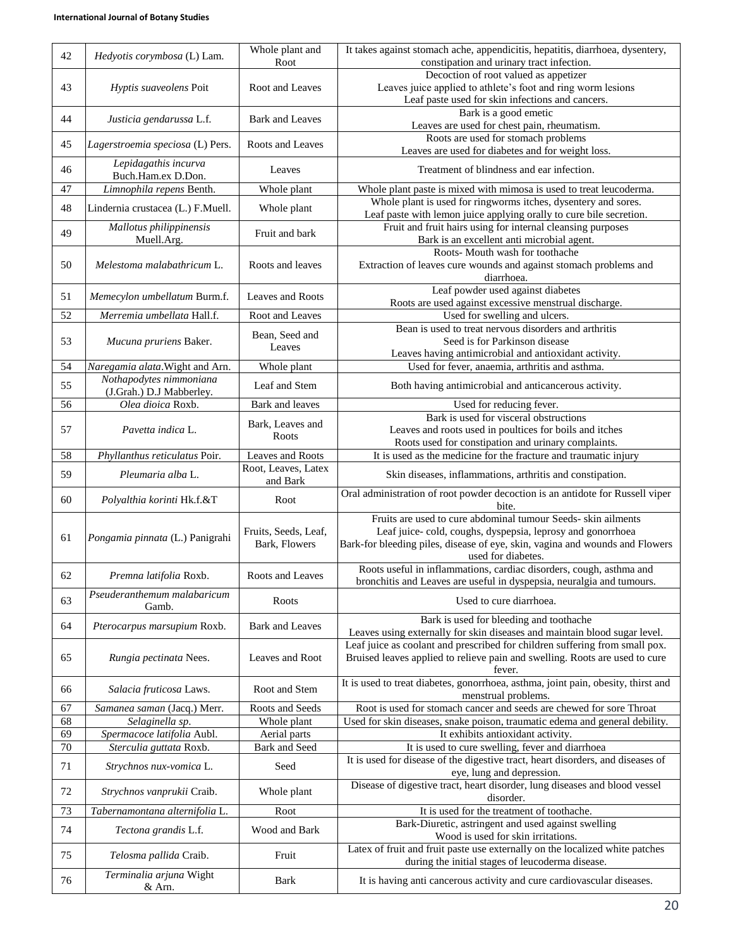| 42 | Hedyotis corymbosa (L) Lam.                | Whole plant and        | It takes against stomach ache, appendicitis, hepatitis, diarrhoea, dysentery,                                                    |
|----|--------------------------------------------|------------------------|----------------------------------------------------------------------------------------------------------------------------------|
|    |                                            | Root                   | constipation and urinary tract infection.                                                                                        |
|    |                                            | Root and Leaves        | Decoction of root valued as appetizer                                                                                            |
| 43 | Hyptis suaveolens Poit                     |                        | Leaves juice applied to athlete's foot and ring worm lesions<br>Leaf paste used for skin infections and cancers.                 |
|    |                                            |                        | Bark is a good emetic                                                                                                            |
| 44 | Justicia gendarussa L.f.                   | <b>Bark and Leaves</b> | Leaves are used for chest pain, rheumatism.                                                                                      |
|    |                                            |                        | Roots are used for stomach problems                                                                                              |
| 45 | Lagerstroemia speciosa (L) Pers.           | Roots and Leaves       | Leaves are used for diabetes and for weight loss.                                                                                |
| 46 | Lepidagathis incurva<br>Buch.Ham.ex D.Don. | Leaves                 | Treatment of blindness and ear infection.                                                                                        |
| 47 | Limnophila repens Benth.                   | Whole plant            | Whole plant paste is mixed with mimosa is used to treat leucoderma.                                                              |
| 48 | Lindernia crustacea (L.) F.Muell.          | Whole plant            | Whole plant is used for ringworms itches, dysentery and sores.                                                                   |
|    |                                            |                        | Leaf paste with lemon juice applying orally to cure bile secretion.                                                              |
| 49 | Mallotus philippinensis<br>Muell.Arg.      | Fruit and bark         | Fruit and fruit hairs using for internal cleansing purposes<br>Bark is an excellent anti microbial agent.                        |
|    |                                            |                        | Roots- Mouth wash for toothache                                                                                                  |
| 50 | Melestoma malabathricum L.                 | Roots and leaves       | Extraction of leaves cure wounds and against stomach problems and                                                                |
|    |                                            |                        | diarrhoea.                                                                                                                       |
| 51 | Memecylon umbellatum Burm.f.               | Leaves and Roots       | Leaf powder used against diabetes                                                                                                |
| 52 | Merremia umbellata Hall.f.                 | Root and Leaves        | Roots are used against excessive menstrual discharge.                                                                            |
|    |                                            |                        | Used for swelling and ulcers.<br>Bean is used to treat nervous disorders and arthritis                                           |
| 53 | Mucuna pruriens Baker.                     | Bean, Seed and         | Seed is for Parkinson disease                                                                                                    |
|    |                                            | Leaves                 | Leaves having antimicrobial and antioxidant activity.                                                                            |
| 54 | Naregamia alata. Wight and Arn.            | Whole plant            | Used for fever, anaemia, arthritis and asthma.                                                                                   |
|    | Nothapodytes nimmoniana                    |                        |                                                                                                                                  |
| 55 | (J.Grah.) D.J Mabberley.                   | Leaf and Stem          | Both having antimicrobial and anticancerous activity.                                                                            |
| 56 | Olea dioica Roxb.                          | Bark and leaves        | Used for reducing fever.                                                                                                         |
|    |                                            |                        | Bark is used for visceral obstructions                                                                                           |
| 57 | Pavetta indica L.                          | Bark, Leaves and       | Leaves and roots used in poultices for boils and itches                                                                          |
|    |                                            | Roots                  | Roots used for constipation and urinary complaints.                                                                              |
| 58 | Phyllanthus reticulatus Poir.              | Leaves and Roots       | It is used as the medicine for the fracture and traumatic injury                                                                 |
|    |                                            | Root, Leaves, Latex    |                                                                                                                                  |
| 59 | Pleumaria alba L.                          | and Bark               | Skin diseases, inflammations, arthritis and constipation.                                                                        |
| 60 | Polyalthia korinti Hk.f.&T                 | Root                   | Oral administration of root powder decoction is an antidote for Russell viper<br>bite.                                           |
|    |                                            |                        | Fruits are used to cure abdominal tumour Seeds- skin ailments                                                                    |
|    | Pongamia pinnata (L.) Panigrahi            | Fruits, Seeds, Leaf,   | Leaf juice-cold, coughs, dyspepsia, leprosy and gonorrhoea                                                                       |
| 61 |                                            | Bark, Flowers          | Bark-for bleeding piles, disease of eye, skin, vagina and wounds and Flowers                                                     |
|    |                                            |                        | used for diabetes.                                                                                                               |
| 62 | Premna latifolia Roxb.                     | Roots and Leaves       | Roots useful in inflammations, cardiac disorders, cough, asthma and                                                              |
|    |                                            |                        | bronchitis and Leaves are useful in dyspepsia, neuralgia and tumours.                                                            |
| 63 | Pseuderanthemum malabaricum<br>Gamb.       | Roots                  | Used to cure diarrhoea.                                                                                                          |
|    |                                            |                        | Bark is used for bleeding and toothache                                                                                          |
| 64 | Pterocarpus marsupium Roxb.                | <b>Bark and Leaves</b> | Leaves using externally for skin diseases and maintain blood sugar level.                                                        |
|    |                                            |                        | Leaf juice as coolant and prescribed for children suffering from small pox.                                                      |
| 65 | Rungia pectinata Nees.                     | Leaves and Root        | Bruised leaves applied to relieve pain and swelling. Roots are used to cure                                                      |
|    |                                            |                        | fever.                                                                                                                           |
| 66 | Salacia fruticosa Laws.                    | Root and Stem          | It is used to treat diabetes, gonorrhoea, asthma, joint pain, obesity, thirst and                                                |
|    |                                            |                        | menstrual problems.                                                                                                              |
| 67 | Samanea saman (Jacq.) Merr.                | Roots and Seeds        | Root is used for stomach cancer and seeds are chewed for sore Throat                                                             |
| 68 | Selaginella sp.                            | Whole plant            | Used for skin diseases, snake poison, traumatic edema and general debility.                                                      |
| 69 | Spermacoce latifolia Aubl.                 | Aerial parts           | It exhibits antioxidant activity.                                                                                                |
| 70 | Sterculia guttata Roxb.                    | Bark and Seed          | It is used to cure swelling, fever and diarrhoea                                                                                 |
| 71 | Strychnos nux-vomica L.                    | Seed                   | It is used for disease of the digestive tract, heart disorders, and diseases of<br>eye, lung and depression.                     |
| 72 | Strychnos vanprukii Craib.                 | Whole plant            | Disease of digestive tract, heart disorder, lung diseases and blood vessel<br>disorder.                                          |
| 73 | Tabernamontana alternifolia L.             | Root                   | It is used for the treatment of toothache.                                                                                       |
|    |                                            |                        | Bark-Diuretic, astringent and used against swelling                                                                              |
| 74 | Tectona grandis L.f.                       | Wood and Bark          | Wood is used for skin irritations.                                                                                               |
| 75 | Telosma pallida Craib.                     | Fruit                  | Latex of fruit and fruit paste use externally on the localized white patches<br>during the initial stages of leucoderma disease. |
| 76 | Terminalia arjuna Wight<br>& Arn.          | Bark                   | It is having anti cancerous activity and cure cardiovascular diseases.                                                           |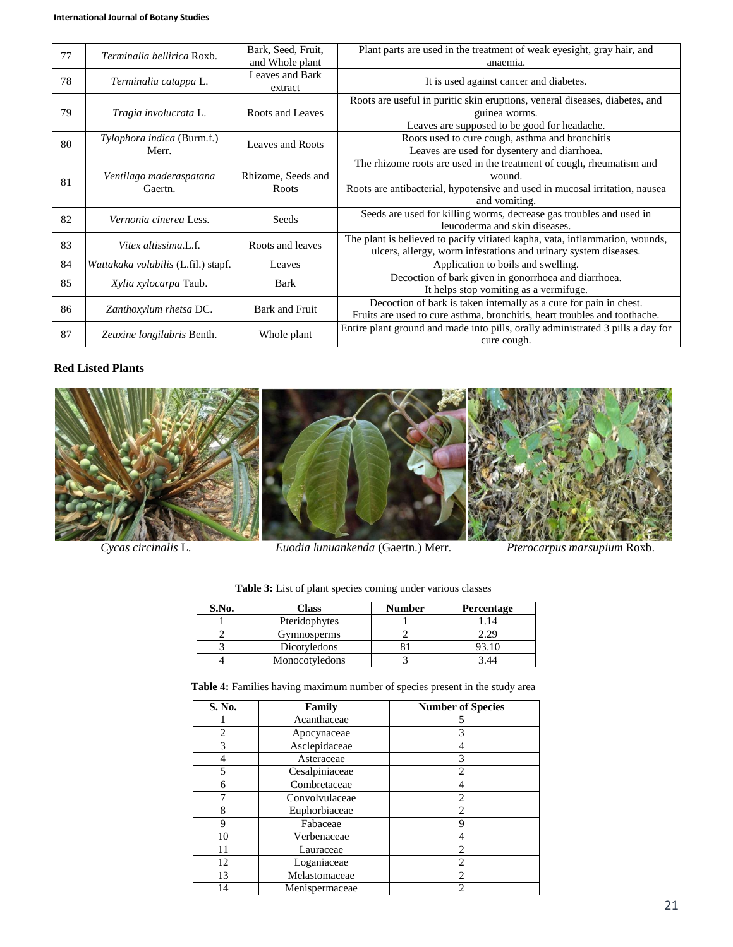| 77 | <i>Terminalia bellirica</i> Roxb.   | Bark, Seed, Fruit,          | Plant parts are used in the treatment of weak eyesight, gray hair, and                                                                                                         |
|----|-------------------------------------|-----------------------------|--------------------------------------------------------------------------------------------------------------------------------------------------------------------------------|
|    |                                     | and Whole plant             | anaemia.                                                                                                                                                                       |
| 78 | Terminalia catappa L.               | Leaves and Bark<br>extract  | It is used against cancer and diabetes.                                                                                                                                        |
| 79 | Tragia involucrata L.               | Roots and Leaves            | Roots are useful in puritic skin eruptions, veneral diseases, diabetes, and<br>guinea worms.<br>Leaves are supposed to be good for headache.                                   |
| 80 | Tylophora indica (Burm.f.)<br>Merr. | Leaves and Roots            | Roots used to cure cough, asthma and bronchitis<br>Leaves are used for dysentery and diarrhoea.                                                                                |
| 81 | Ventilago maderaspatana<br>Gaertn.  | Rhizome, Seeds and<br>Roots | The rhizome roots are used in the treatment of cough, rheumatism and<br>wound.<br>Roots are antibacterial, hypotensive and used in mucosal irritation, nausea<br>and vomiting. |
| 82 | Vernonia cinerea Less.              | Seeds                       | Seeds are used for killing worms, decrease gas troubles and used in<br>leucoderma and skin diseases.                                                                           |
| 83 | Vitex altissima.L.f.                | Roots and leaves            | The plant is believed to pacify vitiated kapha, vata, inflammation, wounds,<br>ulcers, allergy, worm infestations and urinary system diseases.                                 |
| 84 | Wattakaka volubilis (L.fil.) stapf. | Leaves                      | Application to boils and swelling.                                                                                                                                             |
| 85 | Xylia xylocarpa Taub.               | Bark                        | Decoction of bark given in gonorrhoea and diarrhoea.<br>It helps stop vomiting as a vermifuge.                                                                                 |
| 86 | Zanthoxylum rhetsa DC.              | Bark and Fruit              | Decoction of bark is taken internally as a cure for pain in chest.<br>Fruits are used to cure asthma, bronchitis, heart troubles and toothache.                                |
| 87 | Zeuxine longilabris Benth.          | Whole plant                 | Entire plant ground and made into pills, orally administrated 3 pills a day for<br>cure cough.                                                                                 |

# **Red Listed Plants**



*Cycas circinalis* L. *Euodia lunuankenda* (Gaertn.) Merr. *Pterocarpus marsupium* Roxb.

| S.No. | Class          | <b>Number</b> | <b>Percentage</b> |
|-------|----------------|---------------|-------------------|
|       | Pteridophytes  |               |                   |
|       | Gymnosperms    |               | 2.29              |
|       | Dicotyledons   |               | 93.10             |
|       | Monocotyledons |               | 3 44              |

**Table 3:** List of plant species coming under various classes

**Table 4:** Families having maximum number of species present in the study area

| S. No.         | Family         | <b>Number of Species</b> |
|----------------|----------------|--------------------------|
|                | Acanthaceae    |                          |
| $\overline{c}$ | Apocynaceae    | 3                        |
| 3              | Asclepidaceae  | 4                        |
| 4              | Asteraceae     | 3                        |
| 5              | Cesalpiniaceae | $\overline{c}$           |
| 6              | Combretaceae   | 4                        |
|                | Convolvulaceae | $\overline{2}$           |
| 8              | Euphorbiaceae  | $\overline{c}$           |
| 9              | Fabaceae       | 9                        |
| 10             | Verbenaceae    | 4                        |
| 11             | Lauraceae      | $\overline{c}$           |
| 12             | Loganiaceae    | $\overline{c}$           |
| 13             | Melastomaceae  | $\overline{c}$           |
| 14             | Menispermaceae | $\mathfrak{D}$           |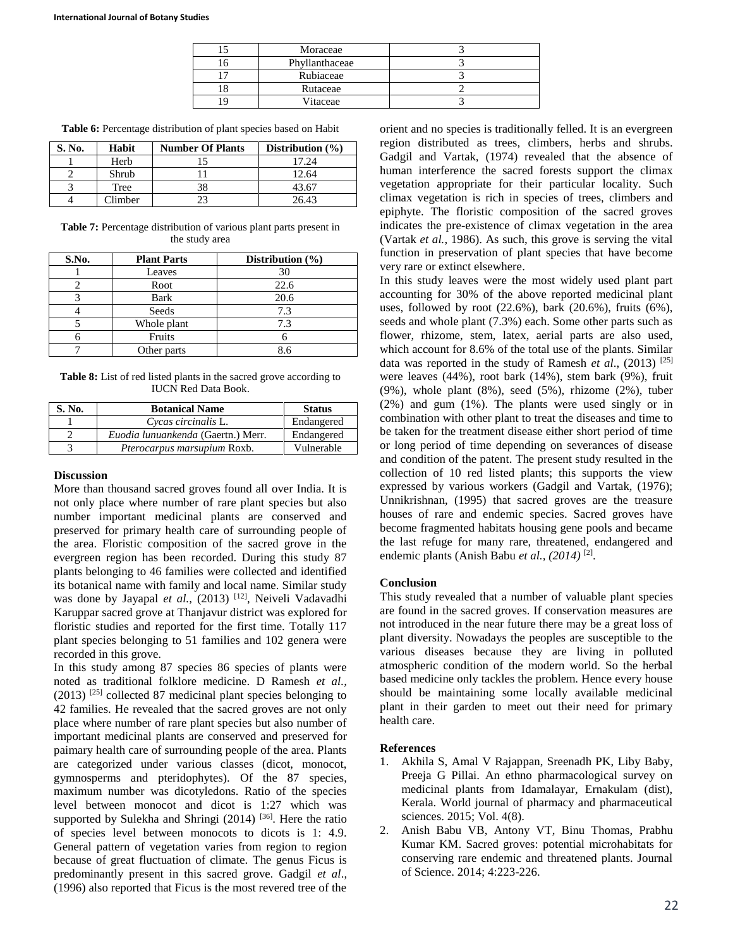| Moraceae       |  |
|----------------|--|
| Phyllanthaceae |  |
| Rubiaceae      |  |
| Rutaceae       |  |
| Vitaceae       |  |

**Table 6:** Percentage distribution of plant species based on Habit

| S. No. | Habit   | <b>Number Of Plants</b> | Distribution $(\% )$ |
|--------|---------|-------------------------|----------------------|
|        | Herb    |                         | 17.24                |
|        | Shrub   |                         | 12.64                |
|        | Tree    |                         | 43.67                |
|        | Climber |                         | 26.43                |

**Table 7:** Percentage distribution of various plant parts present in the study area

| S.No. | <b>Plant Parts</b> | Distribution $(\% )$ |
|-------|--------------------|----------------------|
|       | Leaves             | 30                   |
|       | Root               | 22.6                 |
|       | Bark               | 20.6                 |
|       | Seeds              | 7.3                  |
|       | Whole plant        | 7.3                  |
|       | Fruits             |                      |
|       | Other parts        |                      |

**Table 8:** List of red listed plants in the sacred grove according to IUCN Red Data Book.

| S. No. | <b>Botanical Name</b>              | <b>Status</b> |
|--------|------------------------------------|---------------|
|        | Cycas circinalis L.                | Endangered    |
|        | Euodia lunuankenda (Gaertn.) Merr. | Endangered    |
|        | <i>Pterocarpus marsupium Roxb.</i> | Vulnerable    |

#### **Discussion**

More than thousand sacred groves found all over India. It is not only place where number of rare plant species but also number important medicinal plants are conserved and preserved for primary health care of surrounding people of the area. Floristic composition of the sacred grove in the evergreen region has been recorded. During this study 87 plants belonging to 46 families were collected and identified its botanical name with family and local name. Similar study was done by Jayapal et al., (2013)<sup>[12]</sup>, Neiveli Vadavadhi Karuppar sacred grove at Thanjavur district was explored for floristic studies and reported for the first time. Totally 117 plant species belonging to 51 families and 102 genera were recorded in this grove.

In this study among 87 species 86 species of plants were noted as traditional folklore medicine. D Ramesh *et al.,*  (2013) [25] collected 87 medicinal plant species belonging to 42 families. He revealed that the sacred groves are not only place where number of rare plant species but also number of important medicinal plants are conserved and preserved for paimary health care of surrounding people of the area. Plants are categorized under various classes (dicot, monocot, gymnosperms and pteridophytes). Of the 87 species, maximum number was dicotyledons. Ratio of the species level between monocot and dicot is 1:27 which was supported by Sulekha and Shringi  $(2014)$  [36]. Here the ratio of species level between monocots to dicots is 1: 4.9. General pattern of vegetation varies from region to region because of great fluctuation of climate. The genus Ficus is predominantly present in this sacred grove. Gadgil *et al*., (1996) also reported that Ficus is the most revered tree of the orient and no species is traditionally felled. It is an evergreen region distributed as trees, climbers, herbs and shrubs. Gadgil and Vartak, (1974) revealed that the absence of human interference the sacred forests support the climax vegetation appropriate for their particular locality. Such climax vegetation is rich in species of trees, climbers and epiphyte. The floristic composition of the sacred groves indicates the pre-existence of climax vegetation in the area (Vartak *et al.*, 1986). As such, this grove is serving the vital function in preservation of plant species that have become very rare or extinct elsewhere.

In this study leaves were the most widely used plant part accounting for 30% of the above reported medicinal plant uses, followed by root (22.6%), bark (20.6%), fruits (6%), seeds and whole plant (7.3%) each. Some other parts such as flower, rhizome, stem, latex, aerial parts are also used, which account for 8.6% of the total use of the plants. Similar data was reported in the study of Ramesh *et al*., (2013) [25] were leaves (44%), root bark (14%), stem bark (9%), fruit (9%), whole plant (8%), seed (5%), rhizome (2%), tuber (2%) and gum (1%). The plants were used singly or in combination with other plant to treat the diseases and time to be taken for the treatment disease either short period of time or long period of time depending on severances of disease and condition of the patent. The present study resulted in the collection of 10 red listed plants; this supports the view expressed by various workers (Gadgil and Vartak, (1976); Unnikrishnan, (1995) that sacred groves are the treasure houses of rare and endemic species. Sacred groves have become fragmented habitats housing gene pools and became the last refuge for many rare, threatened, endangered and endemic plants (Anish Babu *et al.*, (2014)<sup>[2]</sup>.

## **Conclusion**

This study revealed that a number of valuable plant species are found in the sacred groves. If conservation measures are not introduced in the near future there may be a great loss of plant diversity. Nowadays the peoples are susceptible to the various diseases because they are living in polluted atmospheric condition of the modern world. So the herbal based medicine only tackles the problem. Hence every house should be maintaining some locally available medicinal plant in their garden to meet out their need for primary health care.

#### **References**

- 1. Akhila S, Amal V Rajappan, Sreenadh PK, Liby Baby, Preeja G Pillai. An ethno pharmacological survey on medicinal plants from Idamalayar, Ernakulam (dist), Kerala. World journal of pharmacy and pharmaceutical sciences. 2015; Vol. 4(8).
- 2. Anish Babu VB, Antony VT, Binu Thomas, Prabhu Kumar KM. Sacred groves: potential microhabitats for conserving rare endemic and threatened plants. Journal of Science. 2014; 4:223-226.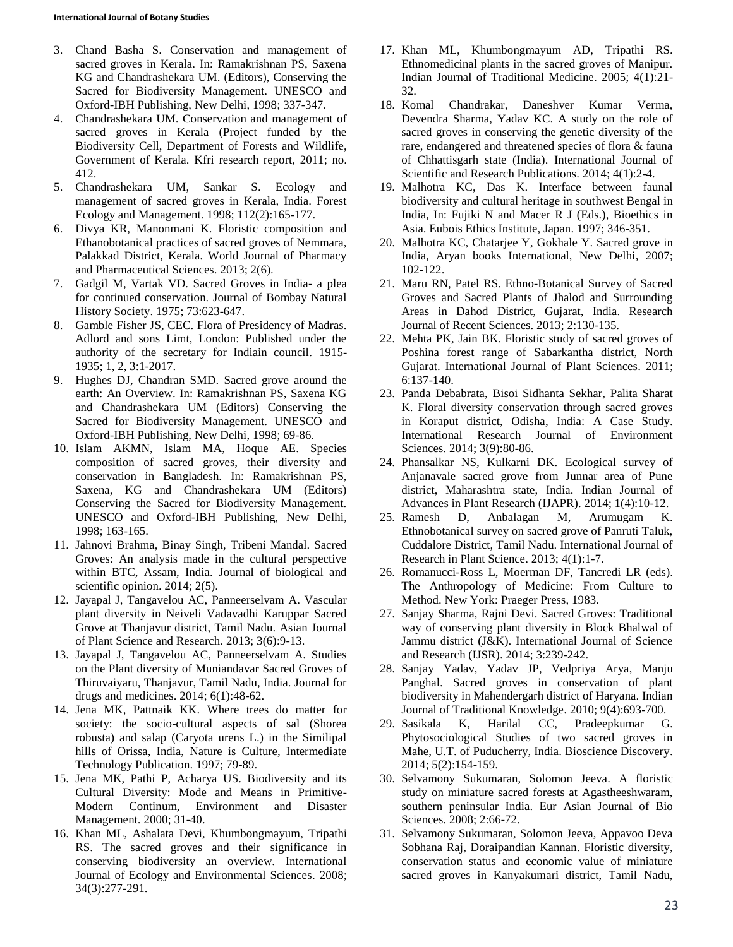- 3. Chand Basha S. Conservation and management of sacred groves in Kerala. In: Ramakrishnan PS, Saxena KG and Chandrashekara UM. (Editors), Conserving the Sacred for Biodiversity Management. UNESCO and Oxford-IBH Publishing, New Delhi, 1998; 337-347.
- 4. Chandrashekara UM. Conservation and management of sacred groves in Kerala (Project funded by the Biodiversity Cell, Department of Forests and Wildlife, Government of Kerala. Kfri research report, 2011; no. 412.
- 5. Chandrashekara UM, Sankar S. Ecology and management of sacred groves in Kerala, India. Forest Ecology and Management. 1998; 112(2):165-177.
- 6. Divya KR, Manonmani K. Floristic composition and Ethanobotanical practices of sacred groves of Nemmara, Palakkad District, Kerala. World Journal of Pharmacy and Pharmaceutical Sciences. 2013; 2(6).
- 7. Gadgil M, Vartak VD. Sacred Groves in India- a plea for continued conservation. Journal of Bombay Natural History Society. 1975; 73:623-647.
- 8. Gamble Fisher JS, CEC. Flora of Presidency of Madras. Adlord and sons Limt, London: Published under the authority of the secretary for Indiain council. 1915- 1935; 1, 2, 3:1-2017.
- 9. Hughes DJ, Chandran SMD. Sacred grove around the earth: An Overview. In: Ramakrishnan PS, Saxena KG and Chandrashekara UM (Editors) Conserving the Sacred for Biodiversity Management. UNESCO and Oxford-IBH Publishing, New Delhi, 1998; 69-86.
- 10. Islam AKMN, Islam MA, Hoque AE. Species composition of sacred groves, their diversity and conservation in Bangladesh. In: Ramakrishnan PS, Saxena, KG and Chandrashekara UM (Editors) Conserving the Sacred for Biodiversity Management. UNESCO and Oxford-IBH Publishing, New Delhi, 1998; 163-165.
- 11. Jahnovi Brahma, Binay Singh, Tribeni Mandal. Sacred Groves: An analysis made in the cultural perspective within BTC, Assam, India. Journal of biological and scientific opinion. 2014; 2(5).
- 12. Jayapal J, Tangavelou AC, Panneerselvam A. Vascular plant diversity in Neiveli Vadavadhi Karuppar Sacred Grove at Thanjavur district, Tamil Nadu. Asian Journal of Plant Science and Research. 2013; 3(6):9-13.
- 13. Jayapal J, Tangavelou AC, Panneerselvam A. Studies on the Plant diversity of Muniandavar Sacred Groves of Thiruvaiyaru, Thanjavur, Tamil Nadu, India. Journal for drugs and medicines. 2014; 6(1):48-62.
- 14. Jena MK, Pattnaik KK. Where trees do matter for society: the socio-cultural aspects of sal (Shorea robusta) and salap (Caryota urens L.) in the Similipal hills of Orissa, India, Nature is Culture, Intermediate Technology Publication. 1997; 79-89.
- 15. Jena MK, Pathi P, Acharya US. Biodiversity and its Cultural Diversity: Mode and Means in Primitive-Modern Continum, Environment and Disaster Management. 2000; 31-40.
- 16. Khan ML, Ashalata Devi, Khumbongmayum, Tripathi RS. The sacred groves and their significance in conserving biodiversity an overview. International Journal of Ecology and Environmental Sciences. 2008; 34(3):277-291.
- 17. Khan ML, Khumbongmayum AD, Tripathi RS. Ethnomedicinal plants in the sacred groves of Manipur. Indian Journal of Traditional Medicine. 2005; 4(1):21- 32.
- 18. Komal Chandrakar, Daneshver Kumar Verma, Devendra Sharma, Yadav KC. A study on the role of sacred groves in conserving the genetic diversity of the rare, endangered and threatened species of flora & fauna of Chhattisgarh state (India). International Journal of Scientific and Research Publications. 2014; 4(1):2-4.
- 19. Malhotra KC, Das K. Interface between faunal biodiversity and cultural heritage in southwest Bengal in India, In: Fujiki N and Macer R J (Eds.), Bioethics in Asia. Eubois Ethics Institute, Japan. 1997; 346-351.
- 20. Malhotra KC, Chatarjee Y, Gokhale Y. Sacred grove in India, Aryan books International, New Delhi, 2007; 102-122.
- 21. Maru RN, Patel RS. Ethno-Botanical Survey of Sacred Groves and Sacred Plants of Jhalod and Surrounding Areas in Dahod District, Gujarat, India. Research Journal of Recent Sciences. 2013; 2:130-135.
- 22. Mehta PK, Jain BK. Floristic study of sacred groves of Poshina forest range of Sabarkantha district, North Gujarat. International Journal of Plant Sciences. 2011; 6:137-140.
- 23. Panda Debabrata, Bisoi Sidhanta Sekhar, Palita Sharat K. Floral diversity conservation through sacred groves in Koraput district, Odisha, India: A Case Study. International Research Journal of Environment Sciences. 2014; 3(9):80-86.
- 24. Phansalkar NS, Kulkarni DK. Ecological survey of Anjanavale sacred grove from Junnar area of Pune district, Maharashtra state, India. Indian Journal of Advances in Plant Research (IJAPR). 2014; 1(4):10-12.
- 25. Ramesh D, Anbalagan M, Arumugam K. Ethnobotanical survey on sacred grove of Panruti Taluk, Cuddalore District, Tamil Nadu. International Journal of Research in Plant Science. 2013; 4(1):1-7.
- 26. Romanucci-Ross L, Moerman DF, Tancredi LR (eds). The Anthropology of Medicine: From Culture to Method. New York: Praeger Press, 1983.
- 27. Sanjay Sharma, Rajni Devi. Sacred Groves: Traditional way of conserving plant diversity in Block Bhalwal of Jammu district (J&K). International Journal of Science and Research (IJSR). 2014; 3:239-242.
- 28. Sanjay Yadav, Yadav JP, Vedpriya Arya, Manju Panghal. Sacred groves in conservation of plant biodiversity in Mahendergarh district of Haryana. Indian Journal of Traditional Knowledge. 2010; 9(4):693-700.
- 29. Sasikala K, Harilal CC, Pradeepkumar G. Phytosociological Studies of two sacred groves in Mahe, U.T. of Puducherry, India. Bioscience Discovery. 2014; 5(2):154-159.
- 30. Selvamony Sukumaran, Solomon Jeeva. A floristic study on miniature sacred forests at Agastheeshwaram, southern peninsular India. Eur Asian Journal of Bio Sciences. 2008; 2:66-72.
- 31. Selvamony Sukumaran, Solomon Jeeva, Appavoo Deva Sobhana Raj, Doraipandian Kannan. Floristic diversity, conservation status and economic value of miniature sacred groves in Kanyakumari district, Tamil Nadu,